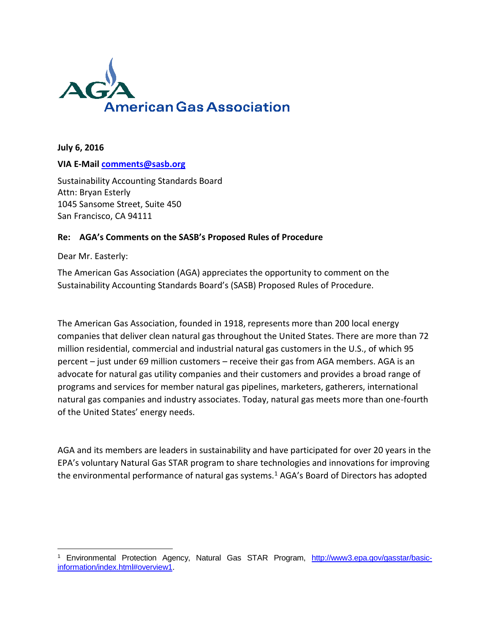

**July 6, 2016**

#### **VIA E-Mail [comments@sasb.org](mailto:comments@sasb.org)**

Sustainability Accounting Standards Board Attn: Bryan Esterly 1045 Sansome Street, Suite 450 San Francisco, CA 94111

#### **Re: AGA's Comments on the SASB's Proposed Rules of Procedure**

Dear Mr. Easterly:

 $\overline{\phantom{a}}$ 

The American Gas Association (AGA) appreciates the opportunity to comment on the Sustainability Accounting Standards Board's (SASB) Proposed Rules of Procedure.

The American Gas Association, founded in 1918, represents more than 200 local energy companies that deliver clean natural gas throughout the United States. There are more than 72 million residential, commercial and industrial natural gas customers in the U.S., of which 95 percent – just under 69 million customers – receive their gas from AGA members. AGA is an advocate for natural gas utility companies and their customers and provides a broad range of programs and services for member natural gas pipelines, marketers, gatherers, international natural gas companies and industry associates. Today, natural gas meets more than one-fourth of the United States' energy needs.

AGA and its members are leaders in sustainability and have participated for over 20 years in the EPA's voluntary Natural Gas STAR program to share technologies and innovations for improving the environmental performance of natural gas systems. $1$  AGA's Board of Directors has adopted

<sup>&</sup>lt;sup>1</sup> Environmental Protection Agency, Natural Gas STAR Program, [http://www3.epa.gov/gasstar/basic](http://www3.epa.gov/gasstar/basic-information/index.html#overview1)[information/index.html#overview1.](http://www3.epa.gov/gasstar/basic-information/index.html#overview1)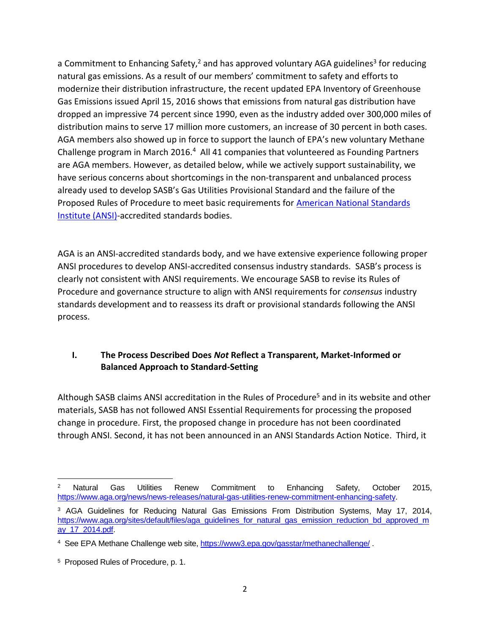a Commitment to Enhancing Safety,<sup>2</sup> and has approved voluntary AGA guidelines<sup>3</sup> for reducing natural gas emissions. As a result of our members' commitment to safety and efforts to modernize their distribution infrastructure, the recent updated EPA Inventory of Greenhouse Gas Emissions issued April 15, 2016 shows that emissions from natural gas distribution have dropped an impressive 74 percent since 1990, even as the industry added over 300,000 miles of distribution mains to serve 17 million more customers, an increase of 30 percent in both cases. AGA members also showed up in force to support the launch of EPA's new voluntary Methane Challenge program in March 2016.<sup>4</sup> All 41 companies that volunteered as Founding Partners are AGA members. However, as detailed below, while we actively support sustainability, we have serious concerns about shortcomings in the non-transparent and unbalanced process already used to develop SASB's Gas Utilities Provisional Standard and the failure of the Proposed Rules of Procedure to meet basic requirements for [American National Standards](http://webstore.ansi.org/default.aspx)  [Institute \(ANSI\)-](http://webstore.ansi.org/default.aspx)accredited standards bodies.

AGA is an ANSI-accredited standards body, and we have extensive experience following proper ANSI procedures to develop ANSI-accredited consensus industry standards. SASB's process is clearly not consistent with ANSI requirements. We encourage SASB to revise its Rules of Procedure and governance structure to align with ANSI requirements for *consensus* industry standards development and to reassess its draft or provisional standards following the ANSI process.

## **I. The Process Described Does** *Not* **Reflect a Transparent, Market-Informed or Balanced Approach to Standard-Setting**

Although SASB claims ANSI accreditation in the Rules of Procedure<sup>5</sup> and in its website and other materials, SASB has not followed ANSI Essential Requirements for processing the proposed change in procedure. First, the proposed change in procedure has not been coordinated through ANSI. Second, it has not been announced in an ANSI Standards Action Notice. Third, it

 $\overline{\phantom{a}}$ <sup>2</sup> Natural Gas Utilities Renew Commitment to Enhancing Safety, October 2015, [https://www.aga.org/news/news-releases/natural-gas-utilities-renew-commitment-enhancing-safety.](https://www.aga.org/news/news-releases/natural-gas-utilities-renew-commitment-enhancing-safety)

<sup>3</sup> AGA Guidelines for Reducing Natural Gas Emissions From Distribution Systems, May 17, 2014, [https://www.aga.org/sites/default/files/aga\\_guidelines\\_for\\_natural\\_gas\\_emission\\_reduction\\_bd\\_approved\\_m](https://www.aga.org/sites/default/files/aga_guidelines_for_natural_gas_emission_reduction_bd_approved_may_17_2014.pdf) [ay\\_17\\_2014.pdf.](https://www.aga.org/sites/default/files/aga_guidelines_for_natural_gas_emission_reduction_bd_approved_may_17_2014.pdf)

<sup>&</sup>lt;sup>4</sup> See EPA Methane Challenge web site[, https://www3.epa.gov/gasstar/methanechallenge/](https://www3.epa.gov/gasstar/methanechallenge/) .

<sup>5</sup> Proposed Rules of Procedure, p. 1.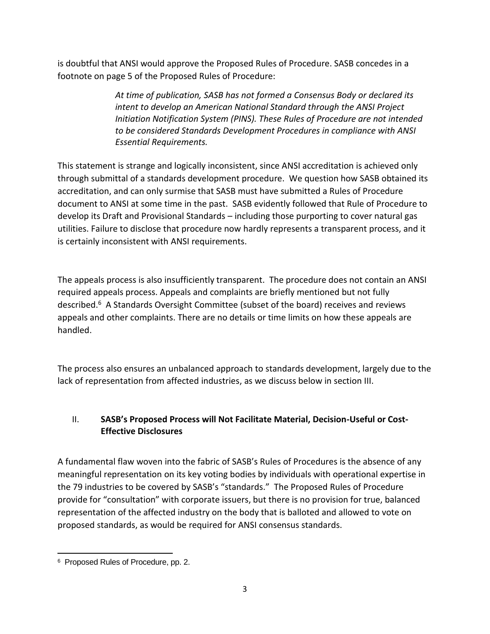is doubtful that ANSI would approve the Proposed Rules of Procedure. SASB concedes in a footnote on page 5 of the Proposed Rules of Procedure:

> *At time of publication, SASB has not formed a Consensus Body or declared its intent to develop an American National Standard through the ANSI Project Initiation Notification System (PINS). These Rules of Procedure are not intended to be considered Standards Development Procedures in compliance with ANSI Essential Requirements.*

This statement is strange and logically inconsistent, since ANSI accreditation is achieved only through submittal of a standards development procedure. We question how SASB obtained its accreditation, and can only surmise that SASB must have submitted a Rules of Procedure document to ANSI at some time in the past. SASB evidently followed that Rule of Procedure to develop its Draft and Provisional Standards – including those purporting to cover natural gas utilities. Failure to disclose that procedure now hardly represents a transparent process, and it is certainly inconsistent with ANSI requirements.

The appeals process is also insufficiently transparent. The procedure does not contain an ANSI required appeals process. Appeals and complaints are briefly mentioned but not fully described.<sup>6</sup> A Standards Oversight Committee (subset of the board) receives and reviews appeals and other complaints. There are no details or time limits on how these appeals are handled.

The process also ensures an unbalanced approach to standards development, largely due to the lack of representation from affected industries, as we discuss below in section III.

# II. **SASB's Proposed Process will Not Facilitate Material, Decision-Useful or Cost-Effective Disclosures**

A fundamental flaw woven into the fabric of SASB's Rules of Procedures is the absence of any meaningful representation on its key voting bodies by individuals with operational expertise in the 79 industries to be covered by SASB's "standards." The Proposed Rules of Procedure provide for "consultation" with corporate issuers, but there is no provision for true, balanced representation of the affected industry on the body that is balloted and allowed to vote on proposed standards, as would be required for ANSI consensus standards.

 $\overline{\phantom{a}}$ 6 Proposed Rules of Procedure, pp. 2.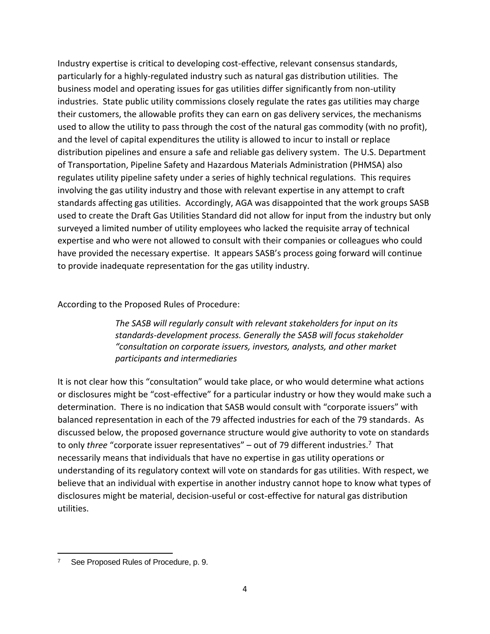Industry expertise is critical to developing cost-effective, relevant consensus standards, particularly for a highly-regulated industry such as natural gas distribution utilities. The business model and operating issues for gas utilities differ significantly from non-utility industries. State public utility commissions closely regulate the rates gas utilities may charge their customers, the allowable profits they can earn on gas delivery services, the mechanisms used to allow the utility to pass through the cost of the natural gas commodity (with no profit), and the level of capital expenditures the utility is allowed to incur to install or replace distribution pipelines and ensure a safe and reliable gas delivery system. The U.S. Department of Transportation, Pipeline Safety and Hazardous Materials Administration (PHMSA) also regulates utility pipeline safety under a series of highly technical regulations. This requires involving the gas utility industry and those with relevant expertise in any attempt to craft standards affecting gas utilities. Accordingly, AGA was disappointed that the work groups SASB used to create the Draft Gas Utilities Standard did not allow for input from the industry but only surveyed a limited number of utility employees who lacked the requisite array of technical expertise and who were not allowed to consult with their companies or colleagues who could have provided the necessary expertise. It appears SASB's process going forward will continue to provide inadequate representation for the gas utility industry.

According to the Proposed Rules of Procedure:

*The SASB will regularly consult with relevant stakeholders for input on its standards-development process. Generally the SASB will focus stakeholder "consultation on corporate issuers, investors, analysts, and other market participants and intermediaries*

It is not clear how this "consultation" would take place, or who would determine what actions or disclosures might be "cost-effective" for a particular industry or how they would make such a determination. There is no indication that SASB would consult with "corporate issuers" with balanced representation in each of the 79 affected industries for each of the 79 standards. As discussed below, the proposed governance structure would give authority to vote on standards to only *three* "corporate issuer representatives" – out of 79 different industries.<sup>7</sup> That necessarily means that individuals that have no expertise in gas utility operations or understanding of its regulatory context will vote on standards for gas utilities. With respect, we believe that an individual with expertise in another industry cannot hope to know what types of disclosures might be material, decision-useful or cost-effective for natural gas distribution utilities.

 $\overline{\phantom{a}}$ 7 See Proposed Rules of Procedure, p. 9.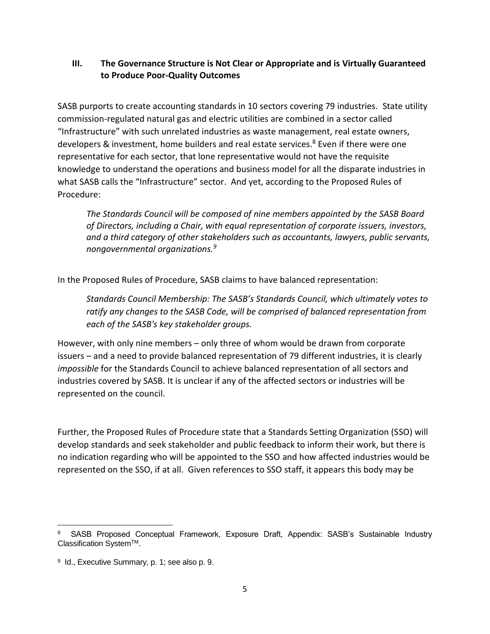### **III. The Governance Structure is Not Clear or Appropriate and is Virtually Guaranteed to Produce Poor-Quality Outcomes**

SASB purports to create accounting standards in 10 sectors covering 79 industries. State utility commission-regulated natural gas and electric utilities are combined in a sector called "Infrastructure" with such unrelated industries as waste management, real estate owners, developers & investment, home builders and real estate services.<sup>8</sup> Even if there were one representative for each sector, that lone representative would not have the requisite knowledge to understand the operations and business model for all the disparate industries in what SASB calls the "Infrastructure" sector. And yet, according to the Proposed Rules of Procedure:

*The Standards Council will be composed of nine members appointed by the SASB Board of Directors, including a Chair, with equal representation of corporate issuers, investors, and a third category of other stakeholders such as accountants, lawyers, public servants, nongovernmental organizations.<sup>9</sup>*

In the Proposed Rules of Procedure, SASB claims to have balanced representation:

*Standards Council Membership: The SASB's Standards Council, which ultimately votes to ratify any changes to the SASB Code, will be comprised of balanced representation from each of the SASB's key stakeholder groups.*

However, with only nine members – only three of whom would be drawn from corporate issuers – and a need to provide balanced representation of 79 different industries, it is clearly *impossible* for the Standards Council to achieve balanced representation of all sectors and industries covered by SASB. It is unclear if any of the affected sectors or industries will be represented on the council.

Further, the Proposed Rules of Procedure state that a Standards Setting Organization (SSO) will develop standards and seek stakeholder and public feedback to inform their work, but there is no indication regarding who will be appointed to the SSO and how affected industries would be represented on the SSO, if at all. Given references to SSO staff, it appears this body may be

 $\overline{\phantom{a}}$ 

<sup>8</sup> SASB Proposed Conceptual Framework, Exposure Draft, Appendix: SASB's Sustainable Industry Classification SystemTM.

<sup>9</sup> Id., Executive Summary, p. 1; see also p. 9.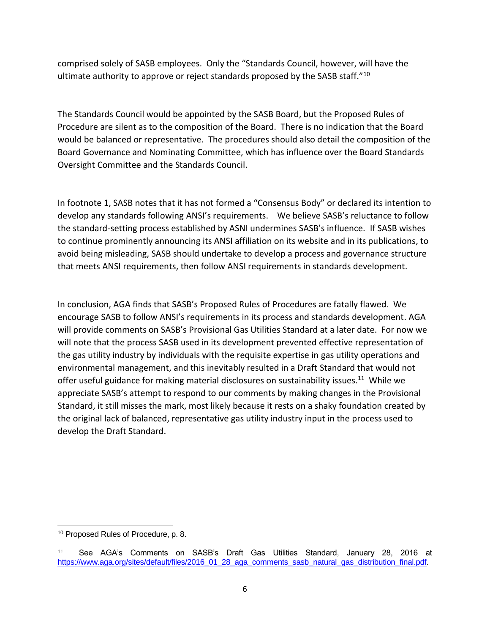comprised solely of SASB employees. Only the "Standards Council, however, will have the ultimate authority to approve or reject standards proposed by the SASB staff." $^{10}$ 

The Standards Council would be appointed by the SASB Board, but the Proposed Rules of Procedure are silent as to the composition of the Board. There is no indication that the Board would be balanced or representative. The procedures should also detail the composition of the Board Governance and Nominating Committee, which has influence over the Board Standards Oversight Committee and the Standards Council.

In footnote 1, SASB notes that it has not formed a "Consensus Body" or declared its intention to develop any standards following ANSI's requirements. We believe SASB's reluctance to follow the standard-setting process established by ASNI undermines SASB's influence. If SASB wishes to continue prominently announcing its ANSI affiliation on its website and in its publications, to avoid being misleading, SASB should undertake to develop a process and governance structure that meets ANSI requirements, then follow ANSI requirements in standards development.

In conclusion, AGA finds that SASB's Proposed Rules of Procedures are fatally flawed. We encourage SASB to follow ANSI's requirements in its process and standards development. AGA will provide comments on SASB's Provisional Gas Utilities Standard at a later date. For now we will note that the process SASB used in its development prevented effective representation of the gas utility industry by individuals with the requisite expertise in gas utility operations and environmental management, and this inevitably resulted in a Draft Standard that would not offer useful guidance for making material disclosures on sustainability issues.<sup>11</sup> While we appreciate SASB's attempt to respond to our comments by making changes in the Provisional Standard, it still misses the mark, most likely because it rests on a shaky foundation created by the original lack of balanced, representative gas utility industry input in the process used to develop the Draft Standard.

 $\overline{\phantom{a}}$ 

<sup>10</sup> Proposed Rules of Procedure, p. 8.

<sup>11</sup> See AGA's Comments on SASB's Draft Gas Utilities Standard, January 28, 2016 at [https://www.aga.org/sites/default/files/2016\\_01\\_28\\_aga\\_comments\\_sasb\\_natural\\_gas\\_distribution\\_final.pdf.](https://www.aga.org/sites/default/files/2016_01_28_aga_comments_sasb_natural_gas_distribution_final.pdf)